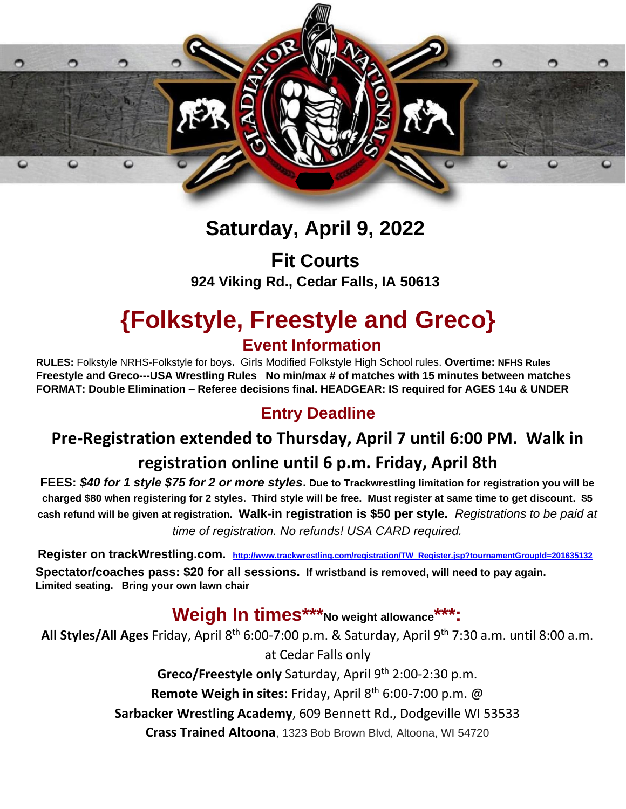

# **Saturday, April 9, 2022**

**Fit Courts 924 Viking Rd., Cedar Falls, IA 50613** 

# **{Folkstyle, Freestyle and Greco} Event Information**

**RULES:** Folkstyle NRHS-Folkstyle for boys**.** Girls Modified Folkstyle High School rules. **Overtime: NFHS Rules Freestyle and Greco---USA Wrestling Rules No min/max # of matches with 15 minutes between matches FORMAT: Double Elimination – Referee decisions final. HEADGEAR: IS required for AGES 14u & UNDER** 

#### **Entry Deadline**

# **Pre-Registration extended to Thursday, April 7 until 6:00 PM. Walk in registration online until 6 p.m. Friday, April 8th**

**FEES:** *\$40 for 1 style \$75 for 2 or more styles***. Due to Trackwrestling limitation for registration you will be charged \$80 when registering for 2 styles. Third style will be free. Must register at same time to get discount. \$5 cash refund will be given at registration. Walk-in registration is \$50 per style.** *Registrations to be paid at time of registration. No refunds! USA CARD required.*

**Register on trackWrestling.com.[http://www.trackwrestling.com/registration/TW\\_Register.jsp?tournamentGroupId=201635132](http://www.trackwrestling.com/registration/TW_Register.jsp?tournamentGroupId=201635132) Spectator/coaches pass: \$20 for all sessions. If wristband is removed, will need to pay again. Limited seating. Bring your own lawn chair**

### **Weigh In times\*\*\*No weight allowance\*\*\*:**

**All Styles/All Ages** Friday, April 8th 6:00-7:00 p.m. & Saturday, April 9th 7:30 a.m. until 8:00 a.m. at Cedar Falls only **Greco/Freestyle only** Saturday, April 9<sup>th</sup> 2:00-2:30 p.m. **Remote Weigh in sites: Friday, April 8th 6:00-7:00 p.m. @ Sarbacker Wrestling Academy**, 609 Bennett Rd., Dodgeville WI 53533 **Crass Trained Altoona**, 1323 Bob Brown Blvd, Altoona, WI 54720